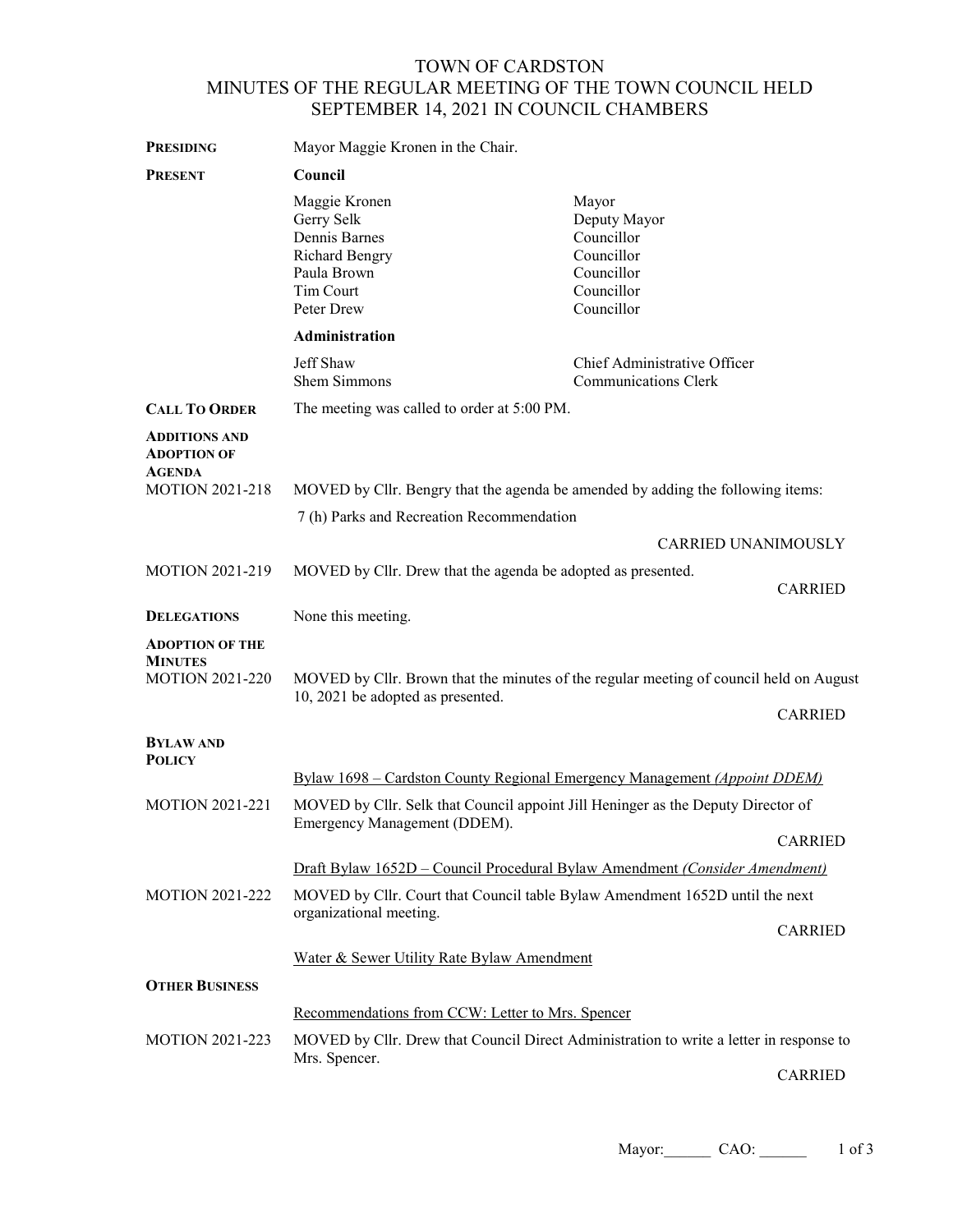## TOWN OF CARDSTON MINUTES OF THE REGULAR MEETING OF THE TOWN COUNCIL HELD SEPTEMBER 14, 2021 IN COUNCIL CHAMBERS

| <b>PRESIDING</b>                                                   | Mayor Maggie Kronen in the Chair.                                                                                                                             |                                                                                             |                |
|--------------------------------------------------------------------|---------------------------------------------------------------------------------------------------------------------------------------------------------------|---------------------------------------------------------------------------------------------|----------------|
| <b>PRESENT</b>                                                     | Council                                                                                                                                                       |                                                                                             |                |
|                                                                    | Maggie Kronen<br>Gerry Selk<br>Dennis Barnes<br><b>Richard Bengry</b><br>Paula Brown<br>Tim Court<br>Peter Drew                                               | Mayor<br>Deputy Mayor<br>Councillor<br>Councillor<br>Councillor<br>Councillor<br>Councillor |                |
|                                                                    | Administration                                                                                                                                                |                                                                                             |                |
|                                                                    | Jeff Shaw<br>Shem Simmons                                                                                                                                     | Chief Administrative Officer<br><b>Communications Clerk</b>                                 |                |
| <b>CALL TO ORDER</b>                                               | The meeting was called to order at 5:00 PM.                                                                                                                   |                                                                                             |                |
| <b>ADDITIONS AND</b><br><b>ADOPTION OF</b><br><b>AGENDA</b>        |                                                                                                                                                               |                                                                                             |                |
| <b>MOTION 2021-218</b>                                             | MOVED by Cllr. Bengry that the agenda be amended by adding the following items:                                                                               |                                                                                             |                |
|                                                                    | 7 (h) Parks and Recreation Recommendation                                                                                                                     |                                                                                             |                |
|                                                                    |                                                                                                                                                               | CARRIED UNANIMOUSLY                                                                         |                |
| <b>MOTION 2021-219</b>                                             | MOVED by Cllr. Drew that the agenda be adopted as presented.                                                                                                  |                                                                                             | <b>CARRIED</b> |
| <b>DELEGATIONS</b>                                                 | None this meeting.                                                                                                                                            |                                                                                             |                |
| <b>ADOPTION OF THE</b><br><b>MINUTES</b><br><b>MOTION 2021-220</b> | MOVED by Cllr. Brown that the minutes of the regular meeting of council held on August<br>10, 2021 be adopted as presented.                                   |                                                                                             | <b>CARRIED</b> |
| <b>BYLAW AND</b><br><b>POLICY</b>                                  |                                                                                                                                                               |                                                                                             |                |
| <b>MOTION 2021-221</b>                                             | Bylaw 1698 – Cardston County Regional Emergency Management (Appoint DDEM)<br>MOVED by Cllr. Selk that Council appoint Jill Heninger as the Deputy Director of |                                                                                             |                |
|                                                                    | Emergency Management (DDEM).                                                                                                                                  |                                                                                             |                |
|                                                                    |                                                                                                                                                               |                                                                                             | <b>CARRIED</b> |
|                                                                    | Draft Bylaw 1652D – Council Procedural Bylaw Amendment (Consider Amendment)                                                                                   |                                                                                             |                |
| <b>MOTION 2021-222</b>                                             | MOVED by Cllr. Court that Council table Bylaw Amendment 1652D until the next<br>organizational meeting.<br><b>CARRIED</b>                                     |                                                                                             |                |
|                                                                    | Water & Sewer Utility Rate Bylaw Amendment                                                                                                                    |                                                                                             |                |
| <b>OTHER BUSINESS</b>                                              |                                                                                                                                                               |                                                                                             |                |
|                                                                    | Recommendations from CCW: Letter to Mrs. Spencer                                                                                                              |                                                                                             |                |
| <b>MOTION 2021-223</b>                                             | MOVED by Cllr. Drew that Council Direct Administration to write a letter in response to                                                                       |                                                                                             |                |
|                                                                    | Mrs. Spencer.                                                                                                                                                 |                                                                                             | <b>CARRIED</b> |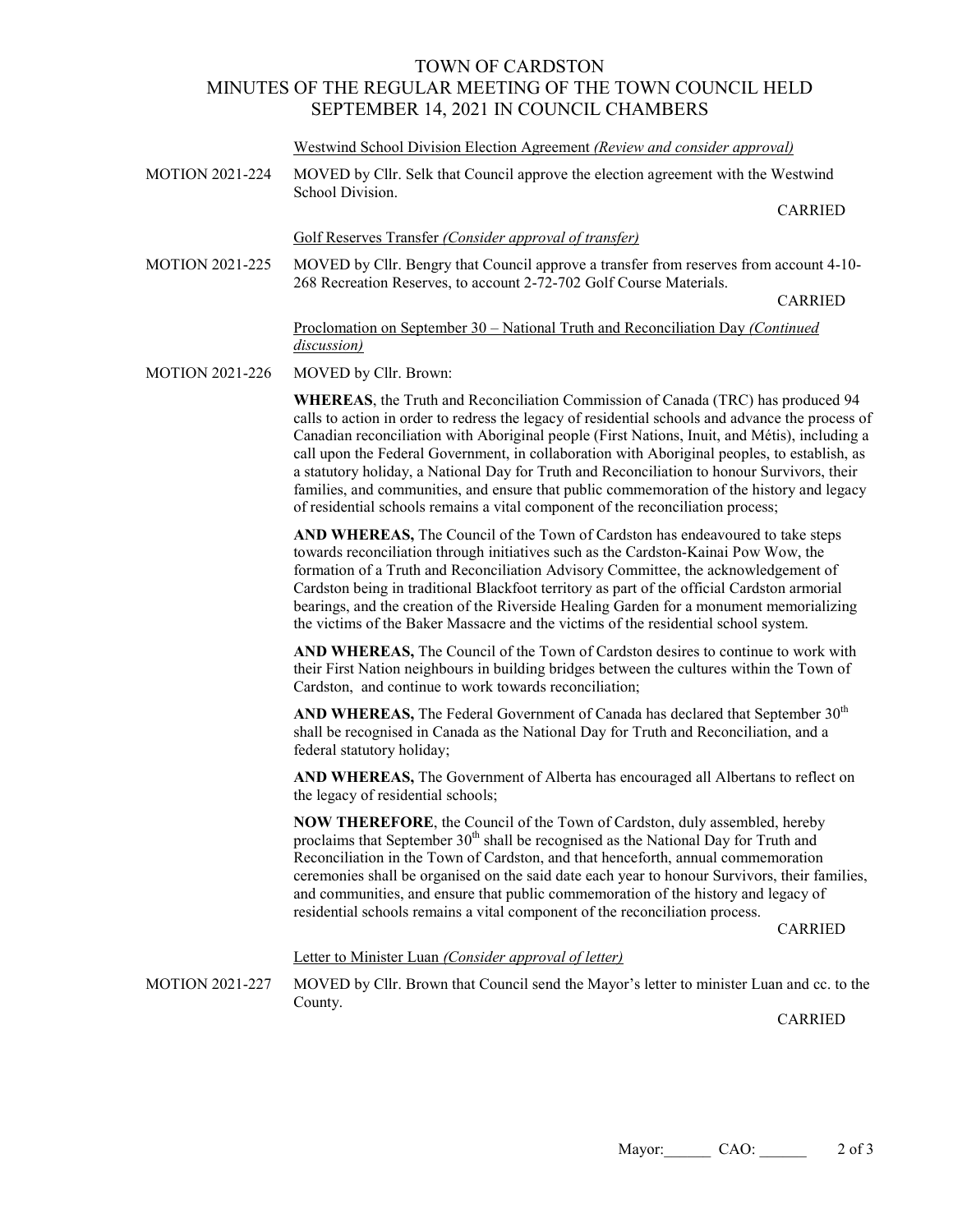## TOWN OF CARDSTON MINUTES OF THE REGULAR MEETING OF THE TOWN COUNCIL HELD SEPTEMBER 14, 2021 IN COUNCIL CHAMBERS

## Westwind School Division Election Agreement *(Review and consider approval)*

- MOTION 2021-224 MOVED by Cllr. Selk that Council approve the election agreement with the Westwind School Division. CARRIED Golf Reserves Transfer *(Consider approval of transfer)* MOTION 2021-225 MOVED by Cllr. Bengry that Council approve a transfer from reserves from account 4-10- 268 Recreation Reserves, to account 2-72-702 Golf Course Materials. CARRIED Proclomation on September 30 – National Truth and Reconciliation Day *(Continued discussion)*
- MOTION 2021-226 MOVED by Cllr. Brown:

**WHEREAS**, the Truth and Reconciliation Commission of Canada (TRC) has produced 94 calls to action in order to redress the legacy of residential schools and advance the process of Canadian reconciliation with Aboriginal people (First Nations, Inuit, and Métis), including a call upon the Federal Government, in collaboration with Aboriginal peoples, to establish, as a statutory holiday, a National Day for Truth and Reconciliation to honour Survivors, their families, and communities, and ensure that public commemoration of the history and legacy of residential schools remains a vital component of the reconciliation process;

**AND WHEREAS,** The Council of the Town of Cardston has endeavoured to take steps towards reconciliation through initiatives such as the Cardston-Kainai Pow Wow, the formation of a Truth and Reconciliation Advisory Committee, the acknowledgement of Cardston being in traditional Blackfoot territory as part of the official Cardston armorial bearings, and the creation of the Riverside Healing Garden for a monument memorializing the victims of the Baker Massacre and the victims of the residential school system.

**AND WHEREAS,** The Council of the Town of Cardston desires to continue to work with their First Nation neighbours in building bridges between the cultures within the Town of Cardston, and continue to work towards reconciliation;

AND WHEREAS, The Federal Government of Canada has declared that September 30<sup>th</sup> shall be recognised in Canada as the National Day for Truth and Reconciliation, and a federal statutory holiday;

**AND WHEREAS,** The Government of Alberta has encouraged all Albertans to reflect on the legacy of residential schools;

**NOW THEREFORE**, the Council of the Town of Cardston, duly assembled, hereby proclaims that September  $30<sup>th</sup>$  shall be recognised as the National Day for Truth and Reconciliation in the Town of Cardston, and that henceforth, annual commemoration ceremonies shall be organised on the said date each year to honour Survivors, their families, and communities, and ensure that public commemoration of the history and legacy of residential schools remains a vital component of the reconciliation process.

CARRIED

Letter to Minister Luan *(Consider approval of letter)*

MOTION 2021-227 MOVED by Cllr. Brown that Council send the Mayor's letter to minister Luan and cc. to the County.

CARRIED